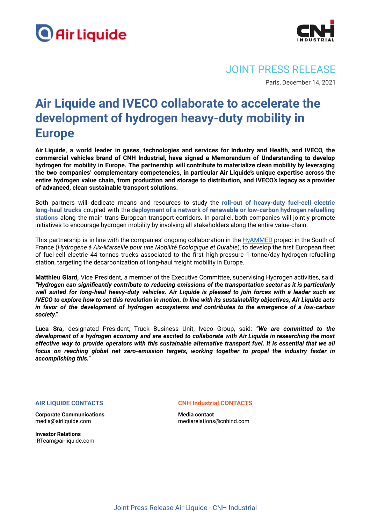



JOINT PRESS RELEASE

Paris, December 14, 2021

## **Air Liquide and IVECO collaborate to accelerate the development of hydrogen heavy-duty mobility in Europe**

**Air Liquide, a world leader in gases, technologies and services for Industry and Health, and IVECO, the commercial vehicles brand of CNH Industrial, have signed a Memorandum of Understanding to develop hydrogen for mobility in Europe. The partnership will contribute to materialize clean mobility by leveraging the two companies' complementary competencies, in particular Air Liquide's unique expertise across the entire hydrogen value chain, from production and storage to distribution, and IVECO's legacy as a provider of advanced, clean sustainable transport solutions.**

Both partners will dedicate means and resources to study the **roll-out of heavy-duty fuel-cell electric long-haul trucks** coupled with the **deployment of a network of renewable or low-carbon hydrogen refuelling stations** along the main trans-European transport corridors. In parallel, both companies will jointly promote initiatives to encourage hydrogen mobility by involving all stakeholders along the entire value-chain.

This partnership is in line with the companies' ongoing collaboration in the [HyAMMED](https://en.media.airliquide.com/news/air-liquide-will-build-the-first-high-pressure-hydrogen-refueling-station-for-long-haul-trucks-in-europe-803c-56033.html) project in the South of France (*Hydrogène à Aix-Marseille pour une Mobilité Écologique et Durable*), to develop the first European fleet of fuel-cell electric 44 tonnes trucks associated to the first high-pressure 1 tonne/day hydrogen refuelling station, targeting the decarbonization of long-haul freight mobility in Europe.

**Matthieu Giard,** Vice President, a member of the Executive Committee, supervising Hydrogen activities, said: *"Hydrogen can significantly contribute to reducing emissions of the transportation sector as it is particularly* well suited for long-haul heavy-duty vehicles. Air Liquide is pleased to join forces with a leader such as IVECO to explore how to set this revolution in motion. In line with its sustainability objectives, Air Liquide acts *in favor of the development of hydrogen ecosystems and contributes to the emergence of a low-carbon society."*

**Luca Sra,** designated President, Truck Business Unit, Iveco Group, said: *"We are committed to the development of a hydrogen economy and are excited to collaborate with Air Liquide in researching the most* effective way to provide operators with this sustainable alternative transport fuel. It is essential that we all *focus on reaching global net zero-emission targets, working together to propel the industry faster in accomplishing this."*

## **AIR LIQUIDE CONTACTS**

**Corporate Communications** media@airliquide.com

**Investor Relations** IRTeam@airliquide.com **CNH Industrial CONTACTS**

**Media contact** [mediarelations@cnhind.com](mailto:mediarelations@cnhind.com)